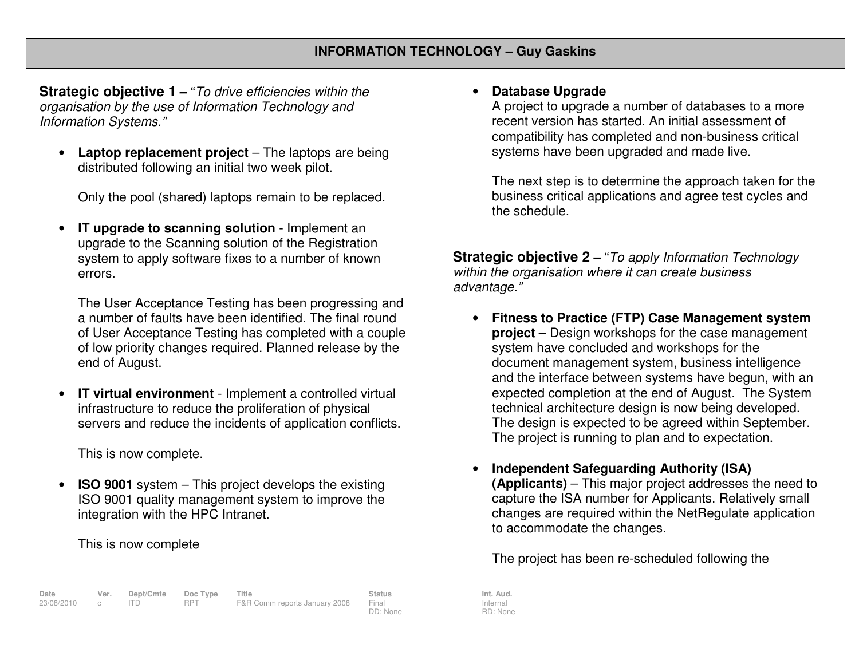**Strategic objective 1 –** "To drive efficiencies within the organisation by the use of Information Technology and Information Systems."

• **Laptop replacement project** – The laptops are being distributed following an initial two week pilot.

Only the pool (shared) laptops remain to be replaced.

• **IT upgrade to scanning solution** - Implement an upgrade to the Scanning solution of the Registration system to apply software fixes to a number of knownerrors.

The User Acceptance Testing has been progressing and a number of faults have been identified. The final round of User Acceptance Testing has completed with a couple of low priority changes required. Planned release by the end of August.

• **IT virtual environment** - Implement a controlled virtual infrastructure to reduce the proliferation of physical servers and reduce the incidents of application conflicts.

This is now complete.

• **ISO 9001** system – This project develops the existing ISO 9001 quality management system to improve the integration with the HPC Intranet.

This is now complete

## **Date Ver. Dept/Cmte Doc Type Title Status Int. Aud.**23/08/2010 c ITD RPT F&R Comm reports January 2008 Final DD: None

•**Database Upgrade**

> A project to upgrade a number of databases to a more recent version has started. An initial assessment of compatibility has completed and non-business critical systems have been upgraded and made live.

The next step is to determine the approach taken for the business critical applications and agree test cycles and the schedule.

**Strategic objective 2 –** "To apply Information Technology within the organisation where it can create business advantage."

- **Fitness to Practice (FTP) Case Management system project** – Design workshops for the case management system have concluded and workshops for the document management system, business intelligence and the interface between systems have begun, with an expected completion at the end of August. The System technical architecture design is now being developed. The design is expected to be agreed within September. The project is running to plan and to expectation.
- • **Independent Safeguarding Authority (ISA) (Applicants)** – This major project addresses the need to capture the ISA number for Applicants. Relatively small changes are required within the NetRegulate application to accommodate the changes.

The project has been re-scheduled following the

Internal RD: None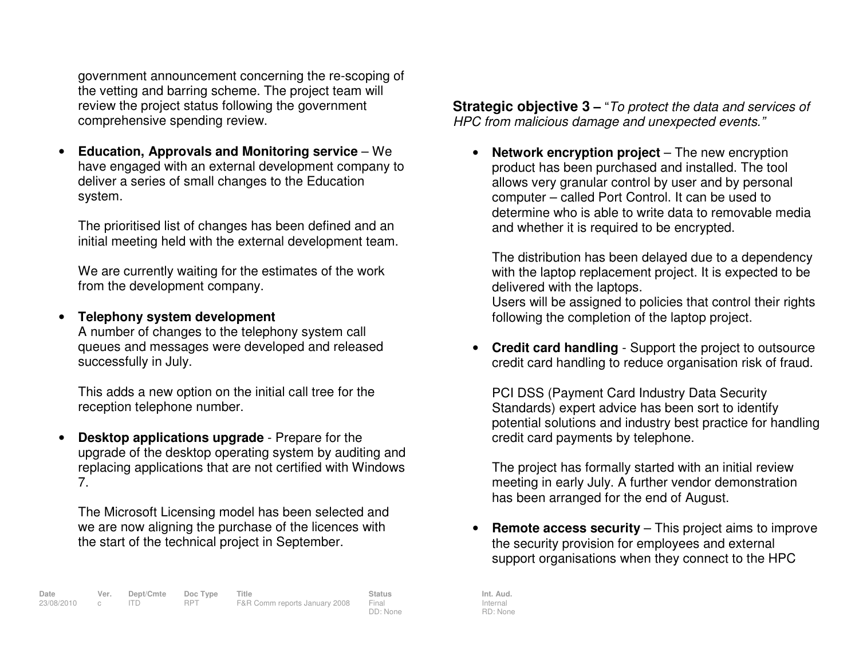government announcement concerning the re-scoping of the vetting and barring scheme. The project team will review the project status following the government comprehensive spending review.

• **Education, Approvals and Monitoring service** – We have engaged with an external development company to deliver a series of small changes to the Education system.

The prioritised list of changes has been defined and an initial meeting held with the external development team.

We are currently waiting for the estimates of the work from the development company.

• **Telephony system development**  A number of changes to the telephony system call queues and messages were developed and released successfully in July.

This adds a new option on the initial call tree for the reception telephone number.

• **Desktop applications upgrade** - Prepare for the upgrade of the desktop operating system by auditing and replacing applications that are not certified with Windows 7.

The Microsoft Licensing model has been selected and we are now aligning the purchase of the licences with the start of the technical project in September.

**Strategic objective 3 – "To protect the data and services of** HPC from malicious damage and unexpected events."

• **Network encryption project** – The new encryption product has been purchased and installed. The tool allows very granular control by user and by personal computer – called Port Control. It can be used to determine who is able to write data to removable media and whether it is required to be encrypted.

The distribution has been delayed due to a dependency with the laptop replacement project. It is expected to be delivered with the laptops.

 Users will be assigned to policies that control their rights following the completion of the laptop project.

• **Credit card handling** - Support the project to outsource credit card handling to reduce organisation risk of fraud.

PCI DSS (Payment Card Industry Data Security Standards) expert advice has been sort to identify potential solutions and industry best practice for handling credit card payments by telephone.

The project has formally started with an initial review meeting in early July. A further vendor demonstration has been arranged for the end of August.

• **Remote access security** – This project aims to improve the security provision for employees and external support organisations when they connect to the HPC

Internal RD: None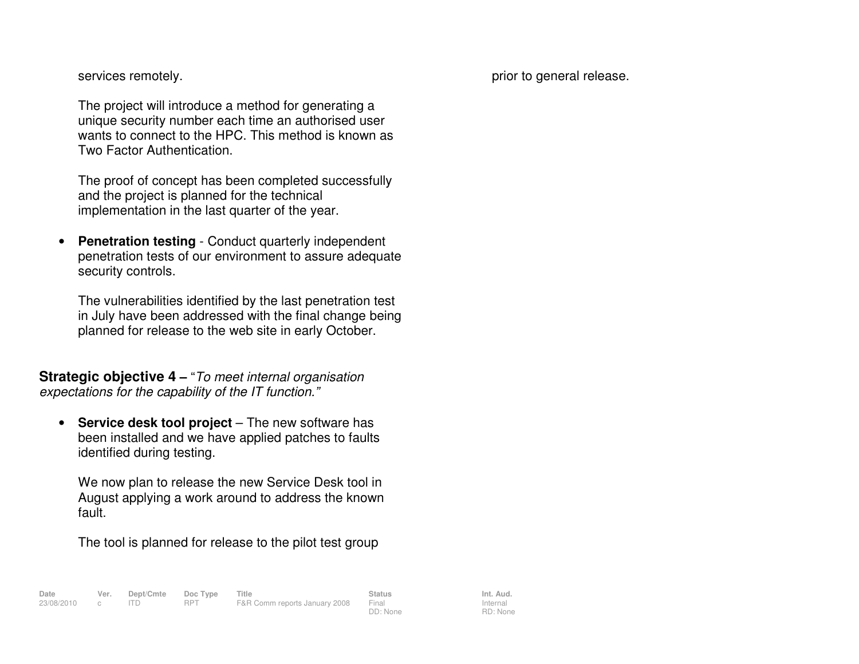services remotely.

prior to general release.

The project will introduce a method for generating a unique security number each time an authorised user wants to connect to the HPC. This method is known as Two Factor Authentication.

The proof of concept has been completed successfully and the project is planned for the technical implementation in the last quarter of the year.

• **Penetration testing** - Conduct quarterly independent penetration tests of our environment to assure adequate security controls.

The vulnerabilities identified by the last penetration test in July have been addressed with the final change being planned for release to the web site in early October.

**Strategic objective 4** – "To meet internal organisation expectations for the capability of the IT function."

 $\bullet$  **Service desk tool project** – The new software has been installed and we have applied patches to faults identified during testing.

We now plan to release the new Service Desk tool in August applying a work around to address the known fault.

The tool is planned for release to the pilot test group